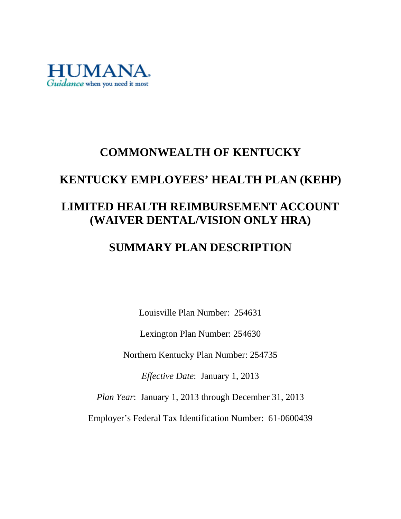

# **COMMONWEALTH OF KENTUCKY**

# **KENTUCKY EMPLOYEES' HEALTH PLAN (KEHP)**

# **LIMITED HEALTH REIMBURSEMENT ACCOUNT (WAIVER DENTAL/VISION ONLY HRA)**

# **SUMMARY PLAN DESCRIPTION**

Louisville Plan Number: 254631

Lexington Plan Number: 254630

Northern Kentucky Plan Number: 254735

*Effective Date*: January 1, 2013

*Plan Year*: January 1, 2013 through December 31, 2013

Employer's Federal Tax Identification Number: 61-0600439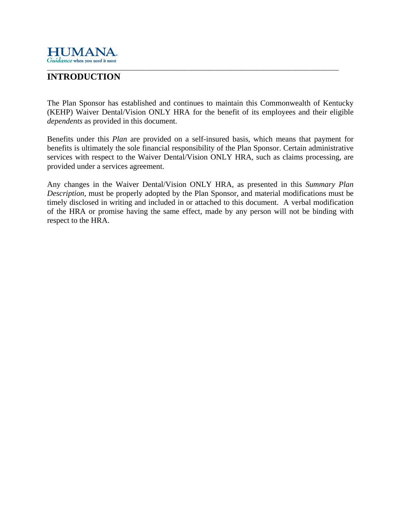

#### \_\_\_\_\_\_\_\_\_\_\_\_\_\_\_\_\_\_\_\_\_\_\_\_\_\_\_\_\_\_\_\_\_\_\_\_\_\_\_\_\_\_\_\_\_\_\_\_\_\_\_\_\_\_\_\_\_\_\_\_\_\_\_\_\_\_\_\_\_\_\_\_\_\_\_\_\_\_\_\_\_ **INTRODUCTION**

The Plan Sponsor has established and continues to maintain this Commonwealth of Kentucky (KEHP) Waiver Dental/Vision ONLY HRA for the benefit of its employees and their eligible *dependents* as provided in this document.

Benefits under this *Plan* are provided on a self-insured basis, which means that payment for benefits is ultimately the sole financial responsibility of the Plan Sponsor. Certain administrative services with respect to the Waiver Dental/Vision ONLY HRA, such as claims processing, are provided under a services agreement.

Any changes in the Waiver Dental/Vision ONLY HRA, as presented in this *Summary Plan Description*, must be properly adopted by the Plan Sponsor, and material modifications must be timely disclosed in writing and included in or attached to this document. A verbal modification of the HRA or promise having the same effect, made by any person will not be binding with respect to the HRA.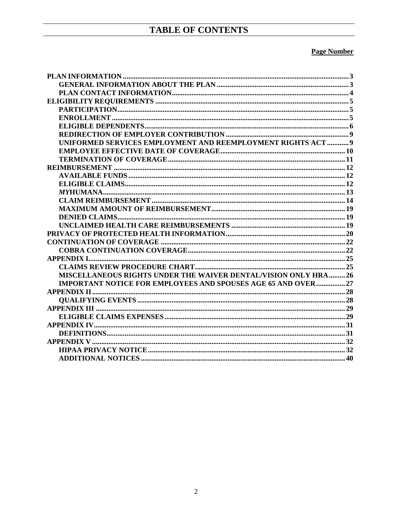## TABLE OF CONTENTS

#### **Page Number**

| UNIFORMED SERVICES EMPLOYMENT AND REEMPLOYMENT RIGHTS ACT  9         |  |
|----------------------------------------------------------------------|--|
|                                                                      |  |
|                                                                      |  |
|                                                                      |  |
|                                                                      |  |
|                                                                      |  |
|                                                                      |  |
|                                                                      |  |
|                                                                      |  |
|                                                                      |  |
|                                                                      |  |
|                                                                      |  |
|                                                                      |  |
|                                                                      |  |
|                                                                      |  |
|                                                                      |  |
| MISCELLANEOUS RIGHTS UNDER THE WAIVER DENTAL/VISION ONLY HRA 26      |  |
| <b>IMPORTANT NOTICE FOR EMPLOYEES AND SPOUSES AGE 65 AND OVER 27</b> |  |
|                                                                      |  |
|                                                                      |  |
|                                                                      |  |
|                                                                      |  |
|                                                                      |  |
|                                                                      |  |
|                                                                      |  |
|                                                                      |  |
|                                                                      |  |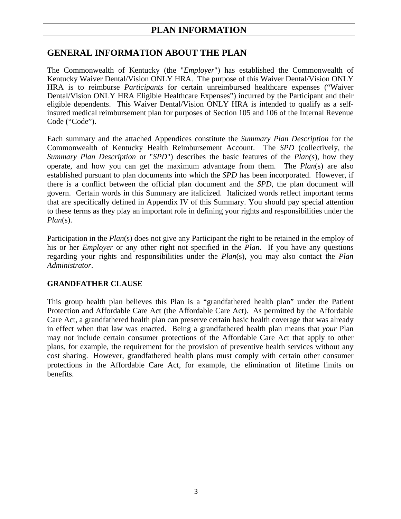### **PLAN INFORMATION**

### **GENERAL INFORMATION ABOUT THE PLAN**

The Commonwealth of Kentucky (the "*Employer*") has established the Commonwealth of Kentucky Waiver Dental/Vision ONLY HRA. The purpose of this Waiver Dental/Vision ONLY HRA is to reimburse *Participants* for certain unreimbursed healthcare expenses ("Waiver Dental/Vision ONLY HRA Eligible Healthcare Expenses") incurred by the Participant and their eligible dependents. This Waiver Dental/Vision ONLY HRA is intended to qualify as a selfinsured medical reimbursement plan for purposes of Section 105 and 106 of the Internal Revenue Code ("Code").

Each summary and the attached Appendices constitute the *Summary Plan Description* for the Commonwealth of Kentucky Health Reimbursement Account. The *SPD* (collectively, the *Summary Plan Description* or "*SPD*") describes the basic features of the *Plan(s*), how they operate, and how you can get the maximum advantage from them. The *Plan*(s) are also established pursuant to plan documents into which the *SPD* has been incorporated. However, if there is a conflict between the official plan document and the *SPD*, the plan document will govern. Certain words in this Summary are italicized. Italicized words reflect important terms that are specifically defined in Appendix IV of this Summary. You should pay special attention to these terms as they play an important role in defining your rights and responsibilities under the *Plan*(s).

Participation in the *Plan*(s) does not give any Participant the right to be retained in the employ of his or her *Employer* or any other right not specified in the *Plan*. If you have any questions regarding your rights and responsibilities under the *Plan*(s), you may also contact the *Plan Administrator*.

#### **GRANDFATHER CLAUSE**

This group health plan believes this Plan is a "grandfathered health plan" under the Patient Protection and Affordable Care Act (the Affordable Care Act). As permitted by the Affordable Care Act, a grandfathered health plan can preserve certain basic health coverage that was already in effect when that law was enacted. Being a grandfathered health plan means that *your* Plan may not include certain consumer protections of the Affordable Care Act that apply to other plans, for example, the requirement for the provision of preventive health services without any cost sharing. However, grandfathered health plans must comply with certain other consumer protections in the Affordable Care Act, for example, the elimination of lifetime limits on benefits.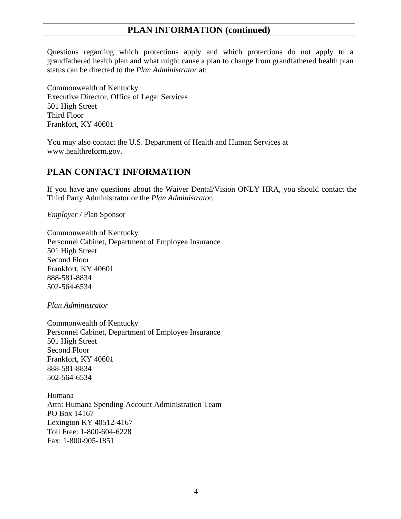### **PLAN INFORMATION (continued)**

Questions regarding which protections apply and which protections do not apply to a grandfathered health plan and what might cause a plan to change from grandfathered health plan status can be directed to the *Plan Administrator* at:

Commonwealth of Kentucky Executive Director, Office of Legal Services 501 High Street Third Floor Frankfort, KY 40601

You may also contact the U.S. Department of Health and Human Services at www.healthreform.gov.

### **PLAN CONTACT INFORMATION**

If you have any questions about the Waiver Dental/Vision ONLY HRA, you should contact the Third Party Administrator or the *Plan Administrato*r.

*Employer* / Plan Sponsor

Commonwealth of Kentucky Personnel Cabinet, Department of Employee Insurance 501 High Street Second Floor Frankfort, KY 40601 888-581-8834 502-564-6534

*Plan Administrator* 

Commonwealth of Kentucky Personnel Cabinet, Department of Employee Insurance 501 High Street Second Floor Frankfort, KY 40601 888-581-8834 502-564-6534

Humana Attn: Humana Spending Account Administration Team PO Box 14167 Lexington KY 40512-4167 Toll Free: 1-800-604-6228 Fax: 1-800-905-1851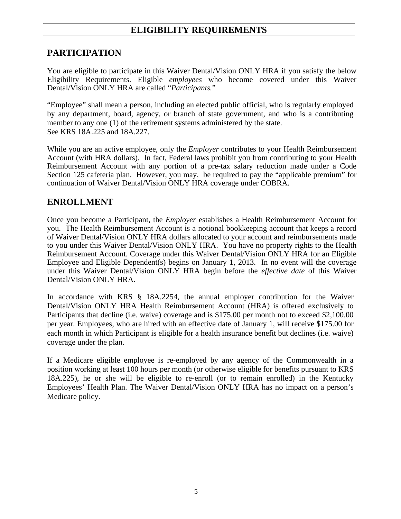## **ELIGIBILITY REQUIREMENTS**

### **PARTICIPATION**

You are eligible to participate in this Waiver Dental/Vision ONLY HRA if you satisfy the below Eligibility Requirements. Eligible *employees* who become covered under this Waiver Dental/Vision ONLY HRA are called "*Participants.*"

"Employee" shall mean a person, including an elected public official, who is regularly employed by any department, board, agency, or branch of state government, and who is a contributing member to any one (1) of the retirement systems administered by the state. See KRS 18A.225 and 18A.227.

While you are an active employee, only the *Employer* contributes to your Health Reimbursement Account (with HRA dollars). In fact, Federal laws prohibit you from contributing to your Health Reimbursement Account with any portion of a pre-tax salary reduction made under a Code Section 125 cafeteria plan. However, you may, be required to pay the "applicable premium" for continuation of Waiver Dental/Vision ONLY HRA coverage under COBRA.

#### **ENROLLMENT**

Once you become a Participant, the *Employer* establishes a Health Reimbursement Account for you. The Health Reimbursement Account is a notional bookkeeping account that keeps a record of Waiver Dental/Vision ONLY HRA dollars allocated to your account and reimbursements made to you under this Waiver Dental/Vision ONLY HRA. You have no property rights to the Health Reimbursement Account. Coverage under this Waiver Dental/Vision ONLY HRA for an Eligible Employee and Eligible Dependent(s) begins on January 1, 2013. In no event will the coverage under this Waiver Dental/Vision ONLY HRA begin before the *effective date* of this Waiver Dental/Vision ONLY HRA.

In accordance with KRS § 18A.2254, the annual employer contribution for the Waiver Dental/Vision ONLY HRA Health Reimbursement Account (HRA) is offered exclusively to Participants that decline (i.e. waive) coverage and is \$175.00 per month not to exceed \$2,100.00 per year. Employees, who are hired with an effective date of January 1, will receive \$175.00 for each month in which Participant is eligible for a health insurance benefit but declines (i.e. waive) coverage under the plan.

If a Medicare eligible employee is re-employed by any agency of the Commonwealth in a position working at least 100 hours per month (or otherwise eligible for benefits pursuant to KRS 18A.225), he or she will be eligible to re-enroll (or to remain enrolled) in the Kentucky Employees' Health Plan. The Waiver Dental/Vision ONLY HRA has no impact on a person's Medicare policy.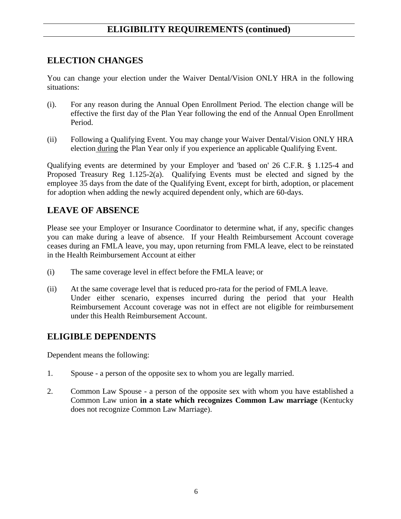## **ELECTION CHANGES**

You can change your election under the Waiver Dental/Vision ONLY HRA in the following situations:

- (i). For any reason during the Annual Open Enrollment Period. The election change will be effective the first day of the Plan Year following the end of the Annual Open Enrollment Period.
- (ii) Following a Qualifying Event. You may change your Waiver Dental/Vision ONLY HRA election during the Plan Year only if you experience an applicable Qualifying Event.

Qualifying events are determined by your Employer and 'based on' 26 C.F.R. § 1.125-4 and Proposed Treasury Reg 1.125-2(a). Qualifying Events must be elected and signed by the employee 35 days from the date of the Qualifying Event, except for birth, adoption, or placement for adoption when adding the newly acquired dependent only, which are 60-days.

## **LEAVE OF ABSENCE**

Please see your Employer or Insurance Coordinator to determine what, if any, specific changes you can make during a leave of absence. If your Health Reimbursement Account coverage ceases during an FMLA leave, you may, upon returning from FMLA leave, elect to be reinstated in the Health Reimbursement Account at either

- (i) The same coverage level in effect before the FMLA leave; or
- (ii) At the same coverage level that is reduced pro-rata for the period of FMLA leave. Under either scenario, expenses incurred during the period that your Health Reimbursement Account coverage was not in effect are not eligible for reimbursement under this Health Reimbursement Account.

## **ELIGIBLE DEPENDENTS**

Dependent means the following:

- 1. Spouse a person of the opposite sex to whom you are legally married.
- 2. Common Law Spouse a person of the opposite sex with whom you have established a Common Law union **in a state which recognizes Common Law marriage** (Kentucky does not recognize Common Law Marriage).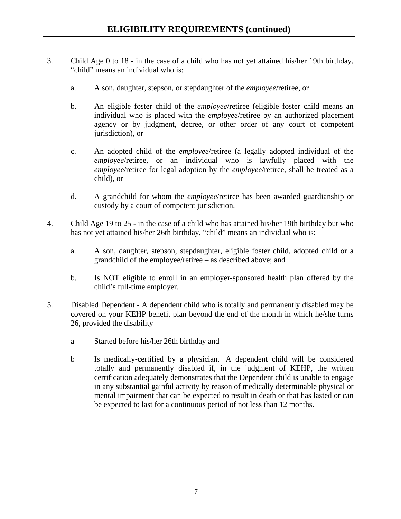- 3. Child Age 0 to 18 in the case of a child who has not yet attained his/her 19th birthday, "child" means an individual who is:
	- a. A son, daughter, stepson, or stepdaughter of the *employee*/retiree, or
	- b. An eligible foster child of the *employee*/retiree (eligible foster child means an individual who is placed with the *employee*/retiree by an authorized placement agency or by judgment, decree, or other order of any court of competent jurisdiction), or
	- c. An adopted child of the *employee*/retiree (a legally adopted individual of the *employee*/retiree, or an individual who is lawfully placed with the *employee*/retiree for legal adoption by the *employee*/retiree, shall be treated as a child), or
	- d. A grandchild for whom the *employee*/retiree has been awarded guardianship or custody by a court of competent jurisdiction.
- 4. Child Age 19 to 25 in the case of a child who has attained his/her 19th birthday but who has not yet attained his/her 26th birthday, "child" means an individual who is:
	- a. A son, daughter, stepson, stepdaughter, eligible foster child, adopted child or a grandchild of the employee/retiree – as described above; and
	- b. Is NOT eligible to enroll in an employer-sponsored health plan offered by the child's full-time employer.
- 5. Disabled Dependent A dependent child who is totally and permanently disabled may be covered on your KEHP benefit plan beyond the end of the month in which he/she turns 26, provided the disability
	- a Started before his/her 26th birthday and
	- b Is medically-certified by a physician. A dependent child will be considered totally and permanently disabled if, in the judgment of KEHP, the written certification adequately demonstrates that the Dependent child is unable to engage in any substantial gainful activity by reason of medically determinable physical or mental impairment that can be expected to result in death or that has lasted or can be expected to last for a continuous period of not less than 12 months.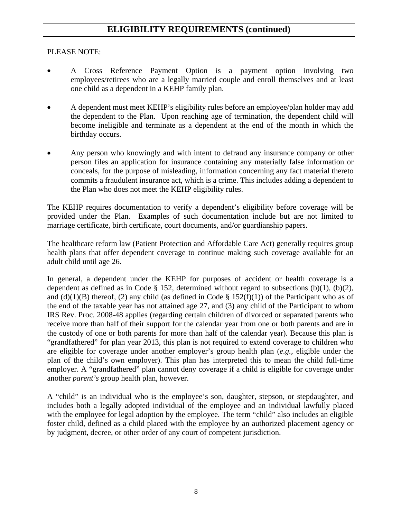#### PLEASE NOTE:

- A Cross Reference Payment Option is a payment option involving two employees/retirees who are a legally married couple and enroll themselves and at least one child as a dependent in a KEHP family plan.
- A dependent must meet KEHP's eligibility rules before an employee/plan holder may add the dependent to the Plan. Upon reaching age of termination, the dependent child will become ineligible and terminate as a dependent at the end of the month in which the birthday occurs.
- Any person who knowingly and with intent to defraud any insurance company or other person files an application for insurance containing any materially false information or conceals, for the purpose of misleading, information concerning any fact material thereto commits a fraudulent insurance act, which is a crime. This includes adding a dependent to the Plan who does not meet the KEHP eligibility rules.

The KEHP requires documentation to verify a dependent's eligibility before coverage will be provided under the Plan. Examples of such documentation include but are not limited to marriage certificate, birth certificate, court documents, and/or guardianship papers.

The healthcare reform law (Patient Protection and Affordable Care Act) generally requires group health plans that offer dependent coverage to continue making such coverage available for an adult child until age 26.

In general, a dependent under the KEHP for purposes of accident or health coverage is a dependent as defined as in Code § 152, determined without regard to subsections  $(b)(1)$ ,  $(b)(2)$ , and (d)(1)(B) thereof, (2) any child (as defined in Code § 152(f)(1)) of the Participant who as of the end of the taxable year has not attained age 27, and (3) any child of the Participant to whom IRS Rev. Proc. 2008-48 applies (regarding certain children of divorced or separated parents who receive more than half of their support for the calendar year from one or both parents and are in the custody of one or both parents for more than half of the calendar year). Because this plan is "grandfathered" for plan year 2013, this plan is not required to extend coverage to children who are eligible for coverage under another employer's group health plan (*e.g.,* eligible under the plan of the child's own employer). This plan has interpreted this to mean the child full-time employer. A "grandfathered" plan cannot deny coverage if a child is eligible for coverage under another *parent's* group health plan, however.

A "child" is an individual who is the employee's son, daughter, stepson, or stepdaughter, and includes both a legally adopted individual of the employee and an individual lawfully placed with the employee for legal adoption by the employee. The term "child" also includes an eligible foster child, defined as a child placed with the employee by an authorized placement agency or by judgment, decree, or other order of any court of competent jurisdiction.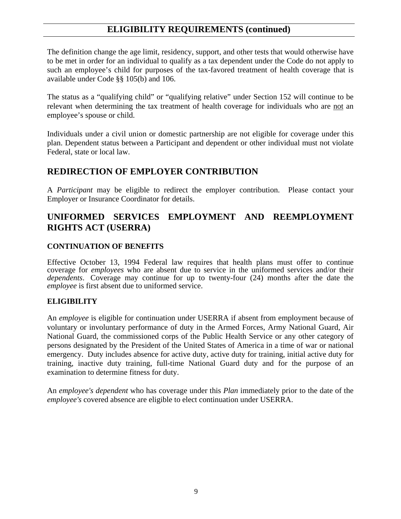The definition change the age limit, residency, support, and other tests that would otherwise have to be met in order for an individual to qualify as a tax dependent under the Code do not apply to such an employee's child for purposes of the tax-favored treatment of health coverage that is available under Code §§ 105(b) and 106.

The status as a "qualifying child" or "qualifying relative" under Section 152 will continue to be relevant when determining the tax treatment of health coverage for individuals who are not an employee's spouse or child.

Individuals under a civil union or domestic partnership are not eligible for coverage under this plan. Dependent status between a Participant and dependent or other individual must not violate Federal, state or local law.

#### **REDIRECTION OF EMPLOYER CONTRIBUTION**

A *Participant* may be eligible to redirect the employer contribution. Please contact your Employer or Insurance Coordinator for details.

### **UNIFORMED SERVICES EMPLOYMENT AND REEMPLOYMENT RIGHTS ACT (USERRA)**

#### **CONTINUATION OF BENEFITS**

Effective October 13, 1994 Federal law requires that health plans must offer to continue coverage for *employees* who are absent due to service in the uniformed services and/or their *dependents*. Coverage may continue for up to twenty-four (24) months after the date the *employee* is first absent due to uniformed service.

#### **ELIGIBILITY**

An *employee* is eligible for continuation under USERRA if absent from employment because of voluntary or involuntary performance of duty in the Armed Forces, Army National Guard, Air National Guard, the commissioned corps of the Public Health Service or any other category of persons designated by the President of the United States of America in a time of war or national emergency. Duty includes absence for active duty, active duty for training, initial active duty for training, inactive duty training, full-time National Guard duty and for the purpose of an examination to determine fitness for duty.

An *employee's dependent* who has coverage under this *Plan* immediately prior to the date of the *employee's* covered absence are eligible to elect continuation under USERRA.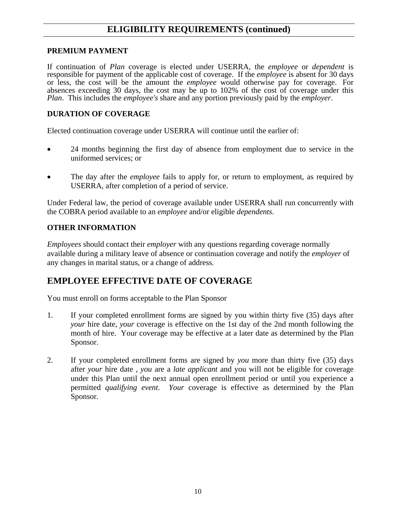#### **PREMIUM PAYMENT**

If continuation of *Plan* coverage is elected under USERRA, the *employee* or *dependent* is responsible for payment of the applicable cost of coverage. If the *employee* is absent for 30 days or less, the cost will be the amount the *employee* would otherwise pay for coverage. For absences exceeding 30 days, the cost may be up to 102% of the cost of coverage under this *Plan*. This includes the *employee's* share and any portion previously paid by the *employer*.

#### **DURATION OF COVERAGE**

Elected continuation coverage under USERRA will continue until the earlier of:

- 24 months beginning the first day of absence from employment due to service in the uniformed services; or
- The day after the *employee* fails to apply for, or return to employment, as required by USERRA, after completion of a period of service.

Under Federal law, the period of coverage available under USERRA shall run concurrently with the COBRA period available to an *employee* and/or eligible *dependents*.

#### **OTHER INFORMATION**

*Employees* should contact their *employer* with any questions regarding coverage normally available during a military leave of absence or continuation coverage and notify the *employer* of any changes in marital status, or a change of address.

### **EMPLOYEE EFFECTIVE DATE OF COVERAGE**

You must enroll on forms acceptable to the Plan Sponsor

- 1. If your completed enrollment forms are signed by you within thirty five (35) days after *your* hire date, *your* coverage is effective on the 1st day of the 2nd month following the month of hire. Your coverage may be effective at a later date as determined by the Plan Sponsor.
- 2. If your completed enrollment forms are signed by *you* more than thirty five (35) days after *your* hire date , *you* are a *late applicant* and you will not be eligible for coverage under this Plan until the next annual open enrollment period or until you experience a permitted *qualifying event*. *Your* coverage is effective as determined by the Plan Sponsor.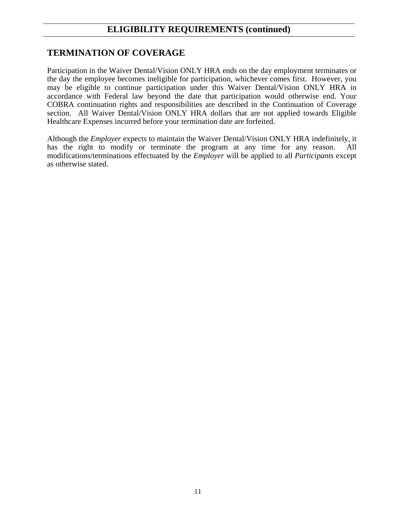### **TERMINATION OF COVERAGE**

Participation in the Waiver Dental/Vision ONLY HRA ends on the day employment terminates or the day the employee becomes ineligible for participation, whichever comes first. However, you may be eligible to continue participation under this Waiver Dental/Vision ONLY HRA in accordance with Federal law beyond the date that participation would otherwise end. Your COBRA continuation rights and responsibilities are described in the Continuation of Coverage section. All Waiver Dental/Vision ONLY HRA dollars that are not applied towards Eligible Healthcare Expenses incurred before your termination date are forfeited.

Although the *Employer* expects to maintain the Waiver Dental/Vision ONLY HRA indefinitely, it has the right to modify or terminate the program at any time for any reason. All modifications/terminations effectuated by the *Employer* will be applied to all *Participants* except as otherwise stated.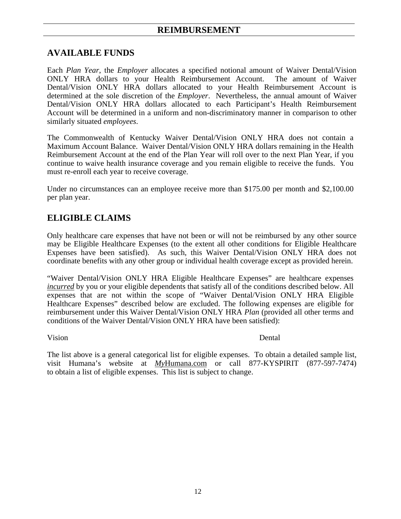### **AVAILABLE FUNDS**

Each *Plan Year*, the *Employer* allocates a specified notional amount of Waiver Dental/Vision ONLY HRA dollars to your Health Reimbursement Account. The amount of Waiver Dental/Vision ONLY HRA dollars allocated to your Health Reimbursement Account is determined at the sole discretion of the *Employer*. Nevertheless, the annual amount of Waiver Dental/Vision ONLY HRA dollars allocated to each Participant's Health Reimbursement Account will be determined in a uniform and non-discriminatory manner in comparison to other similarly situated *employees*.

The Commonwealth of Kentucky Waiver Dental/Vision ONLY HRA does not contain a Maximum Account Balance. Waiver Dental/Vision ONLY HRA dollars remaining in the Health Reimbursement Account at the end of the Plan Year will roll over to the next Plan Year, if you continue to waive health insurance coverage and you remain eligible to receive the funds. You must re-enroll each year to receive coverage.

Under no circumstances can an employee receive more than \$175.00 per month and \$2,100.00 per plan year.

### **ELIGIBLE CLAIMS**

Only healthcare care expenses that have not been or will not be reimbursed by any other source may be Eligible Healthcare Expenses (to the extent all other conditions for Eligible Healthcare Expenses have been satisfied). As such, this Waiver Dental/Vision ONLY HRA does not coordinate benefits with any other group or individual health coverage except as provided herein.

"Waiver Dental/Vision ONLY HRA Eligible Healthcare Expenses" are healthcare expenses *incurred* by you or your eligible dependents that satisfy all of the conditions described below. All expenses that are not within the scope of "Waiver Dental/Vision ONLY HRA Eligible Healthcare Expenses" described below are excluded. The following expenses are eligible for reimbursement under this Waiver Dental/Vision ONLY HRA *Plan* (provided all other terms and conditions of the Waiver Dental/Vision ONLY HRA have been satisfied):

Vision Dental

The list above is a general categorical list for eligible expenses. To obtain a detailed sample list, visit Humana's website at *My*Humana.com or call 877-KYSPIRIT (877-597-7474) to obtain a list of eligible expenses. This list is subject to change.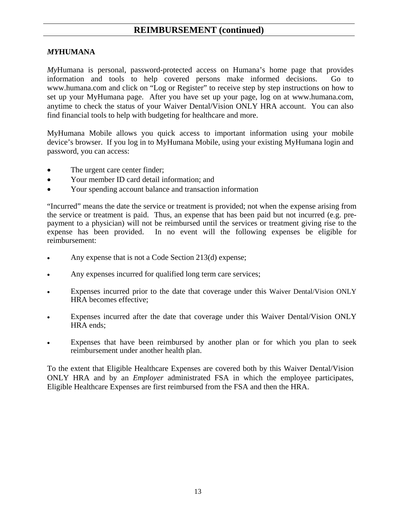#### *MY***HUMANA**

*My*Humana is personal, password-protected access on Humana's home page that provides information and tools to help covered persons make informed decisions. Go to www.humana.com and click on "Log or Register" to receive step by step instructions on how to set up your MyHumana page. After you have set up your page, log on at www.humana.com, anytime to check the status of your Waiver Dental/Vision ONLY HRA account. You can also find financial tools to help with budgeting for healthcare and more.

MyHumana Mobile allows you quick access to important information using your mobile device's browser. If you log in to MyHumana Mobile, using your existing MyHumana login and password, you can access:

- The urgent care center finder;
- Your member ID card detail information; and
- Your spending account balance and transaction information

"Incurred" means the date the service or treatment is provided; not when the expense arising from the service or treatment is paid. Thus, an expense that has been paid but not incurred (e.g. prepayment to a physician) will not be reimbursed until the services or treatment giving rise to the expense has been provided. In no event will the following expenses be eligible for reimbursement:

- Any expense that is not a Code Section 213(d) expense;
- Any expenses incurred for qualified long term care services;
- Expenses incurred prior to the date that coverage under this Waiver Dental/Vision ONLY HRA becomes effective;
- Expenses incurred after the date that coverage under this Waiver Dental/Vision ONLY HRA ends;
- Expenses that have been reimbursed by another plan or for which you plan to seek reimbursement under another health plan.

To the extent that Eligible Healthcare Expenses are covered both by this Waiver Dental/Vision ONLY HRA and by an *Employer* administrated FSA in which the employee participates, Eligible Healthcare Expenses are first reimbursed from the FSA and then the HRA.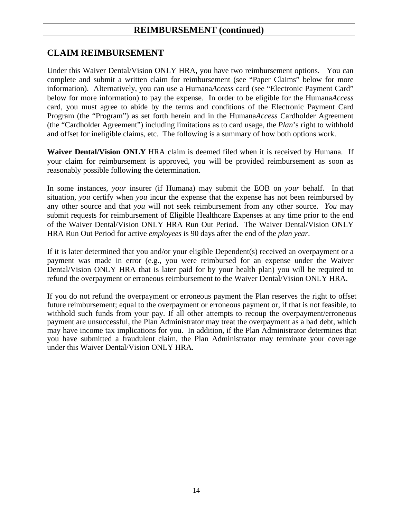### **CLAIM REIMBURSEMENT**

Under this Waiver Dental/Vision ONLY HRA, you have two reimbursement options. You can complete and submit a written claim for reimbursement (see "Paper Claims" below for more information). Alternatively, you can use a Humana*Access* card (see "Electronic Payment Card" below for more information) to pay the expense. In order to be eligible for the Humana*Access* card, you must agree to abide by the terms and conditions of the Electronic Payment Card Program (the "Program") as set forth herein and in the Humana*Access* Cardholder Agreement (the "Cardholder Agreement") including limitations as to card usage, the *Plan*'s right to withhold and offset for ineligible claims, etc. The following is a summary of how both options work.

**Waiver Dental/Vision ONLY** HRA claim is deemed filed when it is received by Humana. If your claim for reimbursement is approved, you will be provided reimbursement as soon as reasonably possible following the determination.

In some instances, *your* insurer (if Humana) may submit the EOB on *your* behalf. In that situation, *you* certify when *you* incur the expense that the expense has not been reimbursed by any other source and that *you* will not seek reimbursement from any other source. *You* may submit requests for reimbursement of Eligible Healthcare Expenses at any time prior to the end of the Waiver Dental/Vision ONLY HRA Run Out Period. The Waiver Dental/Vision ONLY HRA Run Out Period for active *employees* is 90 days after the end of the *plan year*.

If it is later determined that you and/or your eligible Dependent(s) received an overpayment or a payment was made in error (e.g., you were reimbursed for an expense under the Waiver Dental/Vision ONLY HRA that is later paid for by your health plan) you will be required to refund the overpayment or erroneous reimbursement to the Waiver Dental/Vision ONLY HRA.

If you do not refund the overpayment or erroneous payment the Plan reserves the right to offset future reimbursement; equal to the overpayment or erroneous payment or, if that is not feasible, to withhold such funds from your pay. If all other attempts to recoup the overpayment/erroneous payment are unsuccessful, the Plan Administrator may treat the overpayment as a bad debt, which may have income tax implications for you. In addition, if the Plan Administrator determines that you have submitted a fraudulent claim, the Plan Administrator may terminate your coverage under this Waiver Dental/Vision ONLY HRA.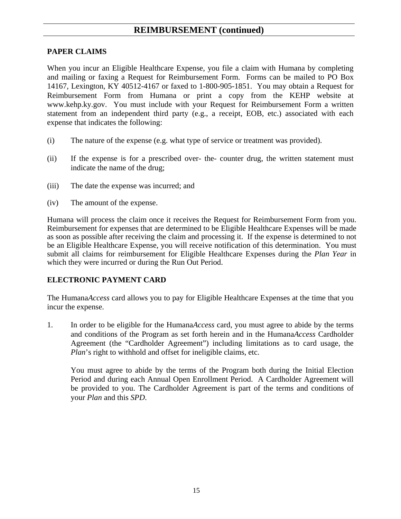#### **PAPER CLAIMS**

When you incur an Eligible Healthcare Expense, you file a claim with Humana by completing and mailing or faxing a Request for Reimbursement Form. Forms can be mailed to PO Box 14167, Lexington, KY 40512-4167 or faxed to 1-800-905-1851. You may obtain a Request for Reimbursement Form from Humana or print a copy from the KEHP website at www.kehp.ky.gov. You must include with your Request for Reimbursement Form a written statement from an independent third party (e.g., a receipt, EOB, etc.) associated with each expense that indicates the following:

- (i) The nature of the expense (e.g. what type of service or treatment was provided).
- (ii) If the expense is for a prescribed over- the- counter drug, the written statement must indicate the name of the drug;
- (iii) The date the expense was incurred; and
- (iv) The amount of the expense.

Humana will process the claim once it receives the Request for Reimbursement Form from you. Reimbursement for expenses that are determined to be Eligible Healthcare Expenses will be made as soon as possible after receiving the claim and processing it. If the expense is determined to not be an Eligible Healthcare Expense, you will receive notification of this determination. You must submit all claims for reimbursement for Eligible Healthcare Expenses during the *Plan Year* in which they were incurred or during the Run Out Period.

#### **ELECTRONIC PAYMENT CARD**

The Humana*Access* card allows you to pay for Eligible Healthcare Expenses at the time that you incur the expense.

1. In order to be eligible for the Humana*Access* card, you must agree to abide by the terms and conditions of the Program as set forth herein and in the Humana*Access* Cardholder Agreement (the "Cardholder Agreement") including limitations as to card usage, the *Plan*'s right to withhold and offset for ineligible claims, etc.

You must agree to abide by the terms of the Program both during the Initial Election Period and during each Annual Open Enrollment Period. A Cardholder Agreement will be provided to you. The Cardholder Agreement is part of the terms and conditions of your *Plan* and this *SPD*.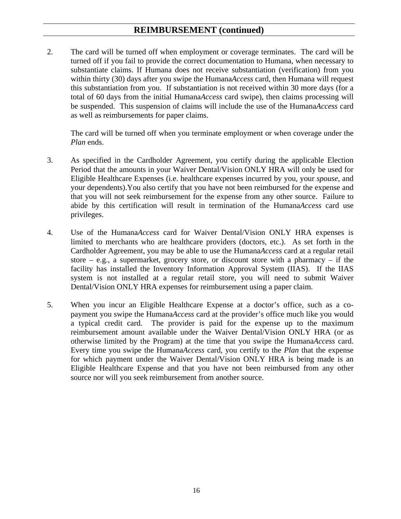2. The card will be turned off when employment or coverage terminates. The card will be turned off if you fail to provide the correct documentation to Humana, when necessary to substantiate claims. If Humana does not receive substantiation (verification) from you within thirty (30) days after you swipe the Humana*Access* card, then Humana will request this substantiation from you. If substantiation is not received within 30 more days (for a total of 60 days from the initial Humana*Access* card swipe), then claims processing will be suspended. This suspension of claims will include the use of the Humana*Access* card as well as reimbursements for paper claims.

The card will be turned off when you terminate employment or when coverage under the *Plan* ends.

- 3. As specified in the Cardholder Agreement, you certify during the applicable Election Period that the amounts in your Waiver Dental/Vision ONLY HRA will only be used for Eligible Healthcare Expenses (i.e. healthcare expenses incurred by you, your *spouse*, and your dependents).You also certify that you have not been reimbursed for the expense and that you will not seek reimbursement for the expense from any other source. Failure to abide by this certification will result in termination of the Humana*Access* card use privileges.
- 4. Use of the Humana*Access* card for Waiver Dental/Vision ONLY HRA expenses is limited to merchants who are healthcare providers (doctors, etc.). As set forth in the Cardholder Agreement, you may be able to use the Humana*Access* card at a regular retail store – e.g., a supermarket, grocery store, or discount store with a pharmacy – if the facility has installed the Inventory Information Approval System (IIAS). If the IIAS system is not installed at a regular retail store, you will need to submit Waiver Dental/Vision ONLY HRA expenses for reimbursement using a paper claim.
- 5. When you incur an Eligible Healthcare Expense at a doctor's office, such as a copayment you swipe the Humana*Access* card at the provider's office much like you would a typical credit card. The provider is paid for the expense up to the maximum reimbursement amount available under the Waiver Dental/Vision ONLY HRA (or as otherwise limited by the Program) at the time that you swipe the Humana*Access* card. Every time you swipe the Humana*Access* card, you certify to the *Plan* that the expense for which payment under the Waiver Dental/Vision ONLY HRA is being made is an Eligible Healthcare Expense and that you have not been reimbursed from any other source nor will you seek reimbursement from another source.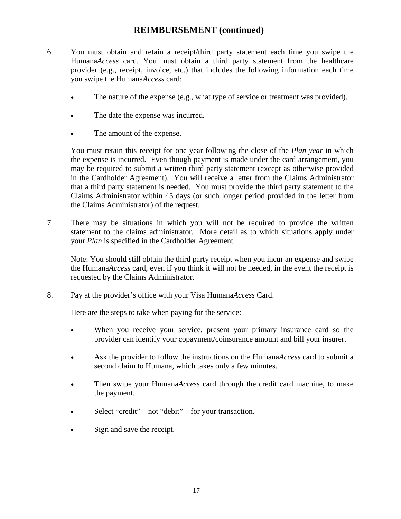- 6. You must obtain and retain a receipt/third party statement each time you swipe the Humana*Access* card. You must obtain a third party statement from the healthcare provider (e.g., receipt, invoice, etc.) that includes the following information each time you swipe the Humana*Access* card:
	- The nature of the expense (e.g., what type of service or treatment was provided).
	- The date the expense was incurred.
	- The amount of the expense.

You must retain this receipt for one year following the close of the *Plan year* in which the expense is incurred. Even though payment is made under the card arrangement, you may be required to submit a written third party statement (except as otherwise provided in the Cardholder Agreement). You will receive a letter from the Claims Administrator that a third party statement is needed. You must provide the third party statement to the Claims Administrator within 45 days (or such longer period provided in the letter from the Claims Administrator) of the request.

7. There may be situations in which you will not be required to provide the written statement to the claims administrator. More detail as to which situations apply under your *Plan* is specified in the Cardholder Agreement.

Note: You should still obtain the third party receipt when you incur an expense and swipe the Humana*Access* card, even if you think it will not be needed, in the event the receipt is requested by the Claims Administrator.

8. Pay at the provider's office with your Visa Humana*Access* Card.

Here are the steps to take when paying for the service:

- When you receive your service, present your primary insurance card so the provider can identify your copayment/coinsurance amount and bill your insurer.
- Ask the provider to follow the instructions on the Humana*Access* card to submit a second claim to Humana, which takes only a few minutes.
- Then swipe your Humana*Access* card through the credit card machine, to make the payment.
- Select "credit" not "debit" for your transaction.
- Sign and save the receipt.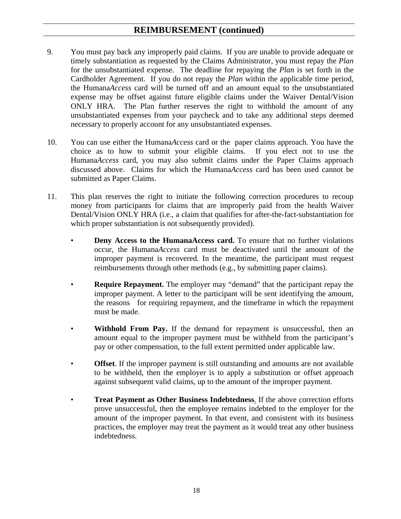- 9. You must pay back any improperly paid claims. If you are unable to provide adequate or timely substantiation as requested by the Claims Administrator, you must repay the *Plan* for the unsubstantiated expense. The deadline for repaying the *Plan* is set forth in the Cardholder Agreement. If you do not repay the *Plan* within the applicable time period, the Humana*Access* card will be turned off and an amount equal to the unsubstantiated expense may be offset against future eligible claims under the Waiver Dental/Vision ONLY HRA. The Plan further reserves the right to withhold the amount of any unsubstantiated expenses from your paycheck and to take any additional steps deemed necessary to properly account for any unsubstantiated expenses.
- 10. You can use either the Humana*Access* card or the paper claims approach. You have the choice as to how to submit your eligible claims. If you elect not to use the Humana*Access* card, you may also submit claims under the Paper Claims approach discussed above. Claims for which the Humana*Access* card has been used cannot be submitted as Paper Claims.
- 11. This plan reserves the right to initiate the following correction procedures to recoup money from participants for claims that are improperly paid from the health Waiver Dental/Vision ONLY HRA (i.e., a claim that qualifies for after-the-fact-substantiation for which proper substantiation is not subsequently provided).
	- **Deny Access to the HumanaAccess card.** To ensure that no further violations occur, the Humana*Access* card must be deactivated until the amount of the improper payment is recovered. In the meantime, the participant must request reimbursements through other methods (e.g., by submitting paper claims).
	- **Require Repayment.** The employer may "demand" that the participant repay the improper payment. A letter to the participant will be sent identifying the amount, the reasons for requiring repayment, and the timeframe in which the repayment must be made.
	- **Withhold From Pay.** If the demand for repayment is unsuccessful, then an amount equal to the improper payment must be withheld from the participant's pay or other compensation, to the full extent permitted under applicable law.
	- **Offset**. If the improper payment is still outstanding and amounts are not available to be withheld, then the employer is to apply a substitution or offset approach against subsequent valid claims, up to the amount of the improper payment.
	- **Treat Payment as Other Business Indebtedness**. If the above correction efforts prove unsuccessful, then the employee remains indebted to the employer for the amount of the improper payment. In that event, and consistent with its business practices, the employer may treat the payment as it would treat any other business indebtedness.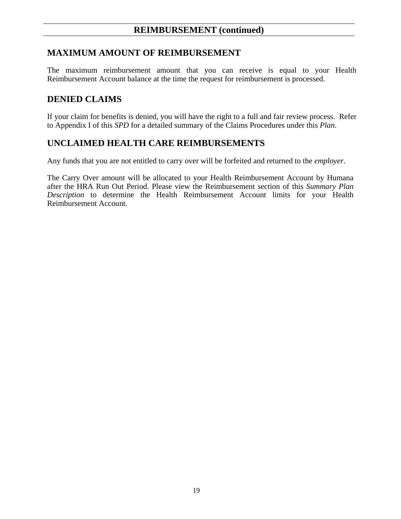### **MAXIMUM AMOUNT OF REIMBURSEMENT**

The maximum reimbursement amount that you can receive is equal to your Health Reimbursement Account balance at the time the request for reimbursement is processed.

#### **DENIED CLAIMS**

If your claim for benefits is denied, you will have the right to a full and fair review process. Refer to Appendix I of this *SPD* for a detailed summary of the Claims Procedures under this *Plan*.

#### **UNCLAIMED HEALTH CARE REIMBURSEMENTS**

Any funds that you are not entitled to carry over will be forfeited and returned to the *employer*.

The Carry Over amount will be allocated to your Health Reimbursement Account by Humana after the HRA Run Out Period. Please view the Reimbursement section of this *Summary Plan Description* to determine the Health Reimbursement Account limits for your Health Reimbursement Account.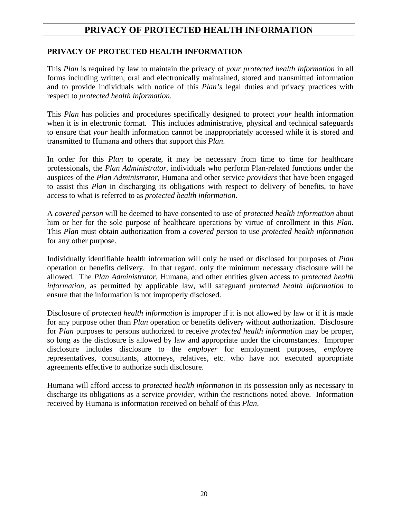### **PRIVACY OF PROTECTED HEALTH INFORMATION**

#### **PRIVACY OF PROTECTED HEALTH INFORMATION**

This *Plan* is required by law to maintain the privacy of *your protected health information* in all forms including written, oral and electronically maintained, stored and transmitted information and to provide individuals with notice of this *Plan's* legal duties and privacy practices with respect to *protected health information*.

This *Plan* has policies and procedures specifically designed to protect *your* health information when it is in electronic format. This includes administrative, physical and technical safeguards to ensure that *your* health information cannot be inappropriately accessed while it is stored and transmitted to Humana and others that support this *Plan*.

In order for this *Plan* to operate, it may be necessary from time to time for healthcare professionals, the *Plan Administrator*, individuals who perform Plan-related functions under the auspices of the *Plan Administrator*, Humana and other service *providers* that have been engaged to assist this *Plan* in discharging its obligations with respect to delivery of benefits, to have access to what is referred to as *protected health information*.

A *covered person* will be deemed to have consented to use of *protected health information* about him or her for the sole purpose of healthcare operations by virtue of enrollment in this *Plan*. This *Plan* must obtain authorization from a *covered person* to use *protected health information* for any other purpose.

Individually identifiable health information will only be used or disclosed for purposes of *Plan* operation or benefits delivery. In that regard, only the minimum necessary disclosure will be allowed. The *Plan Administrator*, Humana, and other entities given access to *protected health information*, as permitted by applicable law, will safeguard *protected health information* to ensure that the information is not improperly disclosed.

Disclosure of *protected health information* is improper if it is not allowed by law or if it is made for any purpose other than *Plan* operation or benefits delivery without authorization. Disclosure for *Plan* purposes to persons authorized to receive *protected health information* may be proper, so long as the disclosure is allowed by law and appropriate under the circumstances. Improper disclosure includes disclosure to the *employer* for employment purposes, *employee* representatives, consultants, attorneys, relatives, etc. who have not executed appropriate agreements effective to authorize such disclosure.

Humana will afford access to *protected health information* in its possession only as necessary to discharge its obligations as a service *provider*, within the restrictions noted above. Information received by Humana is information received on behalf of this *Plan*.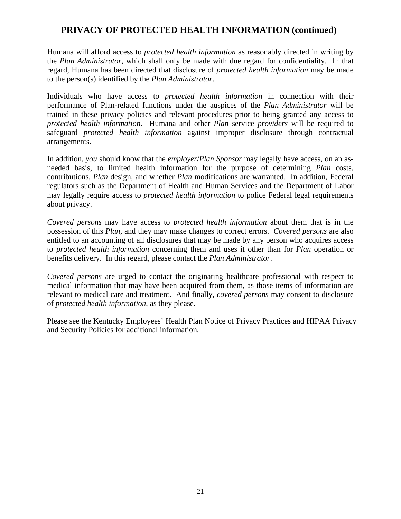### **PRIVACY OF PROTECTED HEALTH INFORMATION (continued)**

Humana will afford access to *protected health information* as reasonably directed in writing by the *Plan Administrator*, which shall only be made with due regard for confidentiality. In that regard, Humana has been directed that disclosure of *protected health information* may be made to the person(s) identified by the *Plan Administrator*.

Individuals who have access to *protected health information* in connection with their performance of Plan-related functions under the auspices of the *Plan Administrator* will be trained in these privacy policies and relevant procedures prior to being granted any access to *protected health information*. Humana and other *Plan* service *providers* will be required to safeguard *protected health information* against improper disclosure through contractual arrangements.

In addition, *you* should know that the *employer*/*Plan Sponsor* may legally have access, on an asneeded basis, to limited health information for the purpose of determining *Plan* costs, contributions, *Plan* design, and whether *Plan* modifications are warranted. In addition, Federal regulators such as the Department of Health and Human Services and the Department of Labor may legally require access to *protected health information* to police Federal legal requirements about privacy.

*Covered persons* may have access to *protected health information* about them that is in the possession of this *Plan*, and they may make changes to correct errors. *Covered persons* are also entitled to an accounting of all disclosures that may be made by any person who acquires access to *protected health information* concerning them and uses it other than for *Plan* operation or benefits delivery. In this regard, please contact the *Plan Administrator*.

*Covered persons* are urged to contact the originating healthcare professional with respect to medical information that may have been acquired from them, as those items of information are relevant to medical care and treatment. And finally, *covered persons* may consent to disclosure of *protected health information*, as they please.

Please see the Kentucky Employees' Health Plan Notice of Privacy Practices and HIPAA Privacy and Security Policies for additional information.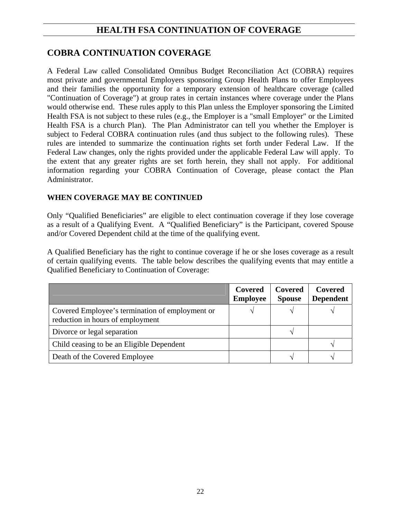## **HEALTH FSA CONTINUATION OF COVERAGE**

### **COBRA CONTINUATION COVERAGE**

A Federal Law called Consolidated Omnibus Budget Reconciliation Act (COBRA) requires most private and governmental Employers sponsoring Group Health Plans to offer Employees and their families the opportunity for a temporary extension of healthcare coverage (called "Continuation of Coverage") at group rates in certain instances where coverage under the Plans would otherwise end. These rules apply to this Plan unless the Employer sponsoring the Limited Health FSA is not subject to these rules (e.g., the Employer is a "small Employer" or the Limited Health FSA is a church Plan). The Plan Administrator can tell you whether the Employer is subject to Federal COBRA continuation rules (and thus subject to the following rules). These rules are intended to summarize the continuation rights set forth under Federal Law. If the Federal Law changes, only the rights provided under the applicable Federal Law will apply. To the extent that any greater rights are set forth herein, they shall not apply. For additional information regarding your COBRA Continuation of Coverage, please contact the Plan Administrator.

#### **WHEN COVERAGE MAY BE CONTINUED**

Only "Qualified Beneficiaries" are eligible to elect continuation coverage if they lose coverage as a result of a Qualifying Event. A "Qualified Beneficiary" is the Participant, covered Spouse and/or Covered Dependent child at the time of the qualifying event.

A Qualified Beneficiary has the right to continue coverage if he or she loses coverage as a result of certain qualifying events. The table below describes the qualifying events that may entitle a Qualified Beneficiary to Continuation of Coverage:

|                                                                                     | Covered<br><b>Employee</b> | Covered<br><b>Spouse</b> | Covered<br><b>Dependent</b> |
|-------------------------------------------------------------------------------------|----------------------------|--------------------------|-----------------------------|
| Covered Employee's termination of employment or<br>reduction in hours of employment |                            |                          |                             |
| Divorce or legal separation                                                         |                            |                          |                             |
| Child ceasing to be an Eligible Dependent                                           |                            |                          |                             |
| Death of the Covered Employee                                                       |                            |                          |                             |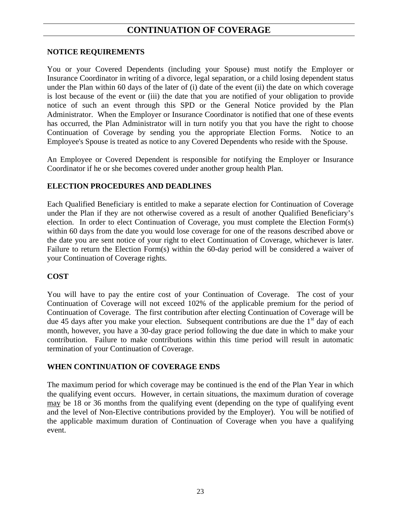### **CONTINUATION OF COVERAGE**

#### **NOTICE REQUIREMENTS**

You or your Covered Dependents (including your Spouse) must notify the Employer or Insurance Coordinator in writing of a divorce, legal separation, or a child losing dependent status under the Plan within 60 days of the later of (i) date of the event (ii) the date on which coverage is lost because of the event or (iii) the date that you are notified of your obligation to provide notice of such an event through this SPD or the General Notice provided by the Plan Administrator. When the Employer or Insurance Coordinator is notified that one of these events has occurred, the Plan Administrator will in turn notify you that you have the right to choose Continuation of Coverage by sending you the appropriate Election Forms. Notice to an Employee's Spouse is treated as notice to any Covered Dependents who reside with the Spouse.

An Employee or Covered Dependent is responsible for notifying the Employer or Insurance Coordinator if he or she becomes covered under another group health Plan.

#### **ELECTION PROCEDURES AND DEADLINES**

Each Qualified Beneficiary is entitled to make a separate election for Continuation of Coverage under the Plan if they are not otherwise covered as a result of another Qualified Beneficiary's election. In order to elect Continuation of Coverage, you must complete the Election Form(s) within 60 days from the date you would lose coverage for one of the reasons described above or the date you are sent notice of your right to elect Continuation of Coverage, whichever is later. Failure to return the Election Form(s) within the 60-day period will be considered a waiver of your Continuation of Coverage rights.

#### **COST**

You will have to pay the entire cost of your Continuation of Coverage. The cost of your Continuation of Coverage will not exceed 102% of the applicable premium for the period of Continuation of Coverage. The first contribution after electing Continuation of Coverage will be due 45 days after you make your election. Subsequent contributions are due the  $1<sup>st</sup>$  day of each month, however, you have a 30-day grace period following the due date in which to make your contribution. Failure to make contributions within this time period will result in automatic termination of your Continuation of Coverage.

#### **WHEN CONTINUATION OF COVERAGE ENDS**

The maximum period for which coverage may be continued is the end of the Plan Year in which the qualifying event occurs. However, in certain situations, the maximum duration of coverage may be 18 or 36 months from the qualifying event (depending on the type of qualifying event and the level of Non-Elective contributions provided by the Employer). You will be notified of the applicable maximum duration of Continuation of Coverage when you have a qualifying event.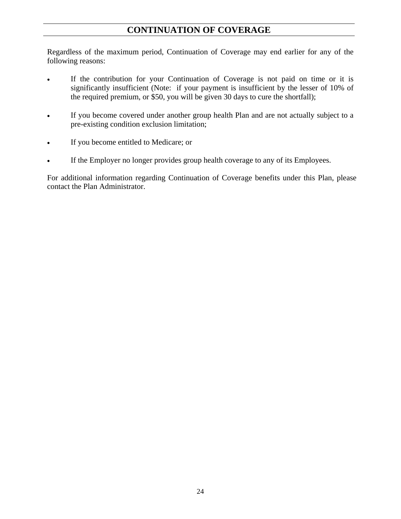### **CONTINUATION OF COVERAGE**

Regardless of the maximum period, Continuation of Coverage may end earlier for any of the following reasons:

- If the contribution for your Continuation of Coverage is not paid on time or it is significantly insufficient (Note: if your payment is insufficient by the lesser of 10% of the required premium, or \$50, you will be given 30 days to cure the shortfall);
- If you become covered under another group health Plan and are not actually subject to a pre-existing condition exclusion limitation;
- If you become entitled to Medicare; or
- If the Employer no longer provides group health coverage to any of its Employees.

For additional information regarding Continuation of Coverage benefits under this Plan, please contact the Plan Administrator.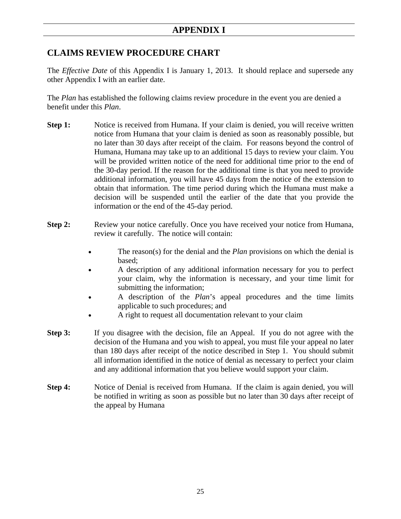### **CLAIMS REVIEW PROCEDURE CHART**

The *Effective Date* of this Appendix I is January 1, 2013. It should replace and supersede any other Appendix I with an earlier date.

The *Plan* has established the following claims review procedure in the event you are denied a benefit under this *Plan*.

- **Step 1:** Notice is received from Humana. If your claim is denied, you will receive written notice from Humana that your claim is denied as soon as reasonably possible, but no later than 30 days after receipt of the claim. For reasons beyond the control of Humana, Humana may take up to an additional 15 days to review your claim. You will be provided written notice of the need for additional time prior to the end of the 30-day period. If the reason for the additional time is that you need to provide additional information, you will have 45 days from the notice of the extension to obtain that information. The time period during which the Humana must make a decision will be suspended until the earlier of the date that you provide the information or the end of the 45-day period.
- **Step 2:** Review your notice carefully. Once you have received your notice from Humana, review it carefully. The notice will contain:
	- The reason(s) for the denial and the *Plan* provisions on which the denial is based;
	- A description of any additional information necessary for you to perfect your claim, why the information is necessary, and your time limit for submitting the information;
	- A description of the *Plan*'s appeal procedures and the time limits applicable to such procedures; and
	- A right to request all documentation relevant to your claim
- **Step 3:** If you disagree with the decision, file an Appeal. If you do not agree with the decision of the Humana and you wish to appeal, you must file your appeal no later than 180 days after receipt of the notice described in Step 1. You should submit all information identified in the notice of denial as necessary to perfect your claim and any additional information that you believe would support your claim.
- **Step 4:** Notice of Denial is received from Humana. If the claim is again denied, you will be notified in writing as soon as possible but no later than 30 days after receipt of the appeal by Humana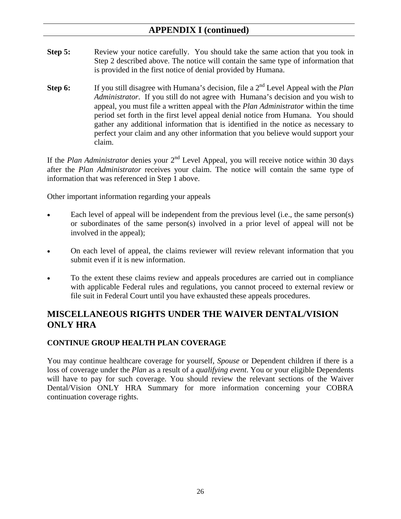- **Step 5:** Review your notice carefully. You should take the same action that you took in Step 2 described above. The notice will contain the same type of information that is provided in the first notice of denial provided by Humana.
- **Step 6:** If you still disagree with Humana's decision, file a 2<sup>nd</sup> Level Appeal with the *Plan Administrator*. If you still do not agree with Humana's decision and you wish to appeal, you must file a written appeal with the *Plan Administrator* within the time period set forth in the first level appeal denial notice from Humana. You should gather any additional information that is identified in the notice as necessary to perfect your claim and any other information that you believe would support your claim.

If the *Plan Administrator* denies your 2<sup>nd</sup> Level Appeal, you will receive notice within 30 days after the *Plan Administrator* receives your claim. The notice will contain the same type of information that was referenced in Step 1 above.

Other important information regarding your appeals

- Each level of appeal will be independent from the previous level (i.e., the same person(s) or subordinates of the same person(s) involved in a prior level of appeal will not be involved in the appeal);
- On each level of appeal, the claims reviewer will review relevant information that you submit even if it is new information.
- To the extent these claims review and appeals procedures are carried out in compliance with applicable Federal rules and regulations, you cannot proceed to external review or file suit in Federal Court until you have exhausted these appeals procedures.

## **MISCELLANEOUS RIGHTS UNDER THE WAIVER DENTAL/VISION ONLY HRA**

#### **CONTINUE GROUP HEALTH PLAN COVERAGE**

You may continue healthcare coverage for yourself, *Spouse* or Dependent children if there is a loss of coverage under the *Plan* as a result of a *qualifying event*. You or your eligible Dependents will have to pay for such coverage. You should review the relevant sections of the Waiver Dental/Vision ONLY HRA Summary for more information concerning your COBRA continuation coverage rights.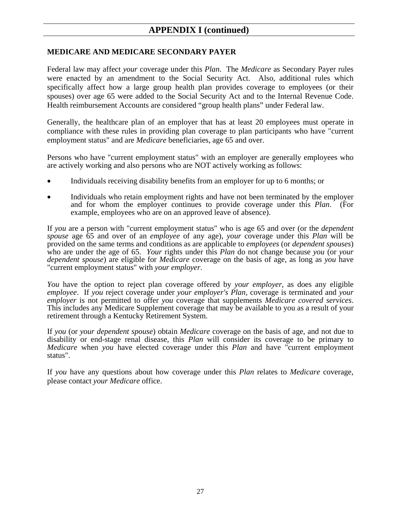#### **MEDICARE AND MEDICARE SECONDARY PAYER**

Federal law may affect *your* coverage under this *Plan*. The *Medicare* as Secondary Payer rules were enacted by an amendment to the Social Security Act. Also, additional rules which specifically affect how a large group health plan provides coverage to employees (or their spouses) over age 65 were added to the Social Security Act and to the Internal Revenue Code. Health reimbursement Accounts are considered "group health plans" under Federal law.

Generally, the healthcare plan of an employer that has at least 20 employees must operate in compliance with these rules in providing plan coverage to plan participants who have "current employment status" and are *Medicare* beneficiaries, age 65 and over.

Persons who have "current employment status" with an employer are generally employees who are actively working and also persons who are NOT actively working as follows:

- Individuals receiving disability benefits from an employer for up to 6 months; or
- Individuals who retain employment rights and have not been terminated by the employer and for whom the employer continues to provide coverage under this *Plan*. (For example, employees who are on an approved leave of absence).

If *you* are a person with "current employment status" who is age 65 and over (or the *dependent spouse* age 65 and over of an *employee* of any age), *your* coverage under this *Plan* will be provided on the same terms and conditions as are applicable to *employees* (or *dependent spouses*) who are under the age of 65. *Your* rights under this *Plan* do not change because *you* (or *your dependent spouse*) are eligible for *Medicare* coverage on the basis of age, as long as *you* have "current employment status" with *your employer*.

*You* have the option to reject plan coverage offered by *your employer*, as does any eligible *employee*. If *you* reject coverage under *your employer's Plan*, coverage is terminated and *your employer* is not permitted to offer *you* coverage that supplements *Medicare covered services*. This includes any Medicare Supplement coverage that may be available to you as a result of your retirement through a Kentucky Retirement System.

If *you* (or *your dependent spouse*) obtain *Medicare* coverage on the basis of age, and not due to disability or end-stage renal disease, this *Plan* will consider its coverage to be primary to *Medicare* when *you* have elected coverage under this *Plan* and have "current employment status".

If *you* have any questions about how coverage under this *Plan* relates to *Medicare* coverage, please contact *your Medicare* office.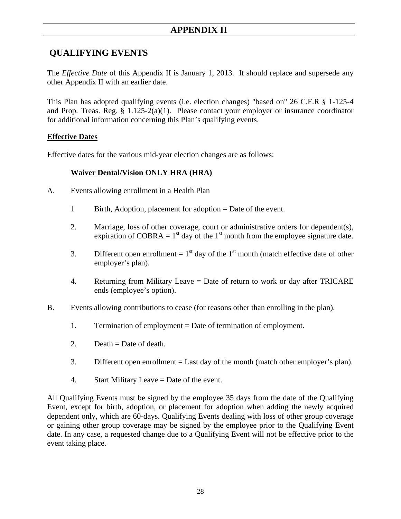## **QUALIFYING EVENTS**

The *Effective Date* of this Appendix II is January 1, 2013. It should replace and supersede any other Appendix II with an earlier date.

This Plan has adopted qualifying events (i.e. election changes) "based on" 26 C.F.R § 1-125-4 and Prop. Treas. Reg. § 1.125-2(a)(1). Please contact your employer or insurance coordinator for additional information concerning this Plan's qualifying events.

#### **Effective Dates**

Effective dates for the various mid-year election changes are as follows:

#### **Waiver Dental/Vision ONLY HRA (HRA)**

- A. Events allowing enrollment in a Health Plan
	- 1 Birth, Adoption, placement for adoption = Date of the event.
	- 2. Marriage, loss of other coverage, court or administrative orders for dependent(s), expiration of COBRA =  $1<sup>st</sup>$  day of the  $1<sup>st</sup>$  month from the employee signature date.
	- 3. Different open enrollment =  $1<sup>st</sup>$  day of the  $1<sup>st</sup>$  month (match effective date of other employer's plan).
	- 4. Returning from Military Leave = Date of return to work or day after TRICARE ends (employee's option).
- B. Events allowing contributions to cease (for reasons other than enrolling in the plan).
	- 1. Termination of employment = Date of termination of employment.
	- 2. Death  $=$  Date of death.
	- 3. Different open enrollment = Last day of the month (match other employer's plan).
	- 4. Start Military Leave = Date of the event.

All Qualifying Events must be signed by the employee 35 days from the date of the Qualifying Event, except for birth, adoption, or placement for adoption when adding the newly acquired dependent only, which are 60-days. Qualifying Events dealing with loss of other group coverage or gaining other group coverage may be signed by the employee prior to the Qualifying Event date. In any case, a requested change due to a Qualifying Event will not be effective prior to the event taking place.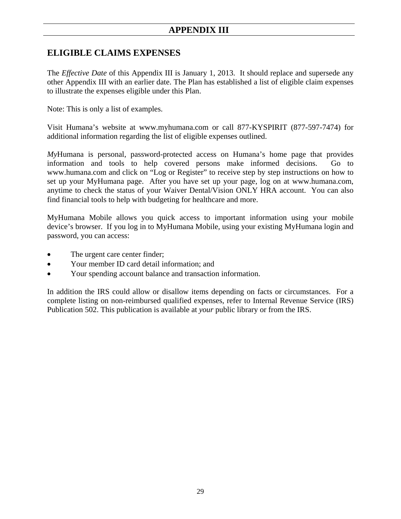### **APPENDIX III**

### **ELIGIBLE CLAIMS EXPENSES**

The *Effective Date* of this Appendix III is January 1, 2013. It should replace and supersede any other Appendix III with an earlier date. The Plan has established a list of eligible claim expenses to illustrate the expenses eligible under this Plan.

Note: This is only a list of examples.

Visit Humana's website at www.myhumana.com or call 877-KYSPIRIT (877-597-7474) for additional information regarding the list of eligible expenses outlined.

*My*Humana is personal, password-protected access on Humana's home page that provides information and tools to help covered persons make informed decisions. Go to www.humana.com and click on "Log or Register" to receive step by step instructions on how to set up your MyHumana page. After you have set up your page, log on at www.humana.com, anytime to check the status of your Waiver Dental/Vision ONLY HRA account. You can also find financial tools to help with budgeting for healthcare and more.

MyHumana Mobile allows you quick access to important information using your mobile device's browser. If you log in to MyHumana Mobile, using your existing MyHumana login and password, you can access:

- The urgent care center finder;
- Your member ID card detail information: and
- Your spending account balance and transaction information.

In addition the IRS could allow or disallow items depending on facts or circumstances. For a complete listing on non-reimbursed qualified expenses, refer to Internal Revenue Service (IRS) Publication 502. This publication is available at *your* public library or from the IRS.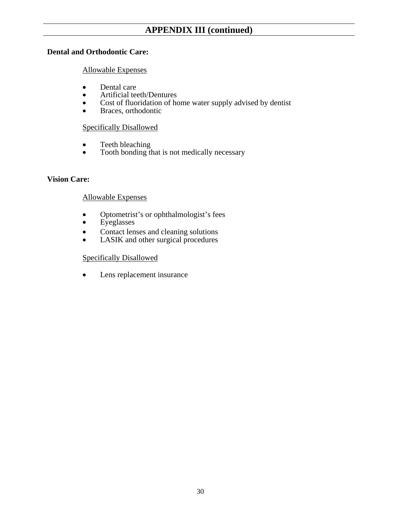#### **Dental and Orthodontic Care:**

#### Allowable Expenses

- 
- 
- Dental care<br>
Artificial teeth/Dentures<br>
Cost of fluoridation of home water supply advised by dentist<br>
Braces, orthodontic
- 

#### Specifically Disallowed

- Teeth bleaching
- Tooth bonding that is not medically necessary

#### **Vision Care:**

#### Allowable Expenses

- Optometrist's or ophthalmologist's fees
- Eyeglasses
- Contact lenses and cleaning solutions
- LASIK and other surgical procedures

#### Specifically Disallowed

Lens replacement insurance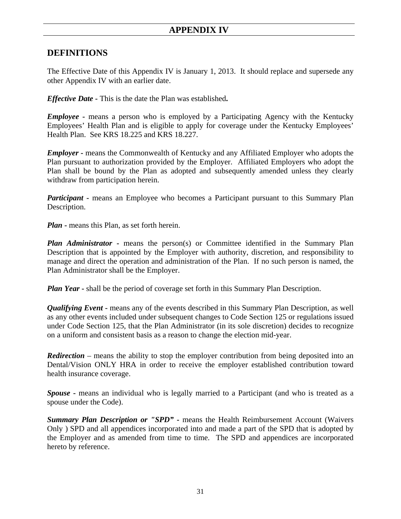### **APPENDIX IV**

#### **DEFINITIONS**

The Effective Date of this Appendix IV is January 1, 2013. It should replace and supersede any other Appendix IV with an earlier date.

*Effective Date* **-** This is the date the Plan was established**.** 

*Employee* - means a person who is employed by a Participating Agency with the Kentucky Employees' Health Plan and is eligible to apply for coverage under the Kentucky Employees' Health Plan. See KRS 18.225 and KRS 18.227.

*Employer* - means the Commonwealth of Kentucky and any Affiliated Employer who adopts the Plan pursuant to authorization provided by the Employer. Affiliated Employers who adopt the Plan shall be bound by the Plan as adopted and subsequently amended unless they clearly withdraw from participation herein.

*Participant* - means an Employee who becomes a Participant pursuant to this Summary Plan Description.

*Plan* - means this Plan, as set forth herein.

*Plan Administrator* **-** means the person(s) or Committee identified in the Summary Plan Description that is appointed by the Employer with authority, discretion, and responsibility to manage and direct the operation and administration of the Plan. If no such person is named, the Plan Administrator shall be the Employer.

*Plan Year* - shall be the period of coverage set forth in this Summary Plan Description.

*Qualifying Event* - means any of the events described in this Summary Plan Description, as well as any other events included under subsequent changes to Code Section 125 or regulations issued under Code Section 125, that the Plan Administrator (in its sole discretion) decides to recognize on a uniform and consistent basis as a reason to change the election mid-year.

*Redirection* – means the ability to stop the employer contribution from being deposited into an Dental/Vision ONLY HRA in order to receive the employer established contribution toward health insurance coverage.

*Spouse* **-** means an individual who is legally married to a Participant (and who is treated as a spouse under the Code).

**Summary Plan Description or "SPD"** - means the Health Reimbursement Account (Waivers Only ) SPD and all appendices incorporated into and made a part of the SPD that is adopted by the Employer and as amended from time to time. The SPD and appendices are incorporated hereto by reference.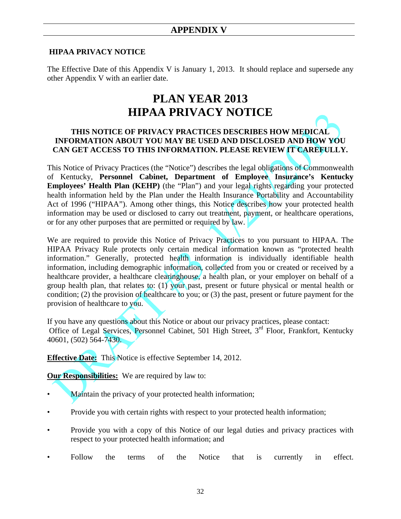#### **HIPAA PRIVACY NOTICE**

The Effective Date of this Appendix V is January 1, 2013. It should replace and supersede any other Appendix V with an earlier date.

# **PLAN YEAR 2013 HIPAA PRIVACY NOTICE**

#### **THIS NOTICE OF PRIVACY PRACTICES DESCRIBES HOW MEDICAL INFORMATION ABOUT YOU MAY BE USED AND DISCLOSED AND HOW YOU CAN GET ACCESS TO THIS INFORMATION. PLEASE REVIEW IT CAREFULLY.**

This Notice of Privacy Practices (the "Notice") describes the legal obligations of Commonwealth of Kentucky, **Personnel Cabinet, Department of Employee Insurance's Kentucky Employees' Health Plan (KEHP)** (the "Plan") and your legal rights regarding your protected health information held by the Plan under the Health Insurance Portability and Accountability Act of 1996 ("HIPAA"). Among other things, this Notice describes how your protected health information may be used or disclosed to carry out treatment, payment, or healthcare operations, or for any other purposes that are permitted or required by law.

We are required to provide this Notice of Privacy Practices to you pursuant to HIPAA. The HIPAA Privacy Rule protects only certain medical information known as "protected health information." Generally, protected health information is individually identifiable health information, including demographic information, collected from you or created or received by a healthcare provider, a healthcare clearinghouse, a health plan, or your employer on behalf of a group health plan, that relates to: (1) your past, present or future physical or mental health or condition; (2) the provision of healthcare to you; or (3) the past, present or future payment for the provision of healthcare to you.

If you have any questions about this Notice or about our privacy practices, please contact: Office of Legal Services, Personnel Cabinet, 501 High Street, 3<sup>rd</sup> Floor, Frankfort, Kentucky 40601, (502) 564-7430.

**Effective Date:** This Notice is effective September 14, 2012.

**Our Responsibilities:** We are required by law to:

- Maintain the privacy of your protected health information;
- Provide you with certain rights with respect to your protected health information;
- Provide you with a copy of this Notice of our legal duties and privacy practices with respect to your protected health information; and
- Follow the terms of the Notice that is currently in effect.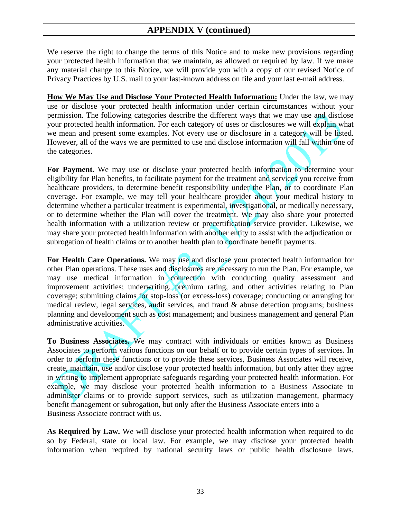We reserve the right to change the terms of this Notice and to make new provisions regarding your protected health information that we maintain, as allowed or required by law. If we make any material change to this Notice, we will provide you with a copy of our revised Notice of Privacy Practices by U.S. mail to your last-known address on file and your last e-mail address.

**How We May Use and Disclose Your Protected Health Information:** Under the law, we may use or disclose your protected health information under certain circumstances without your permission. The following categories describe the different ways that we may use and disclose your protected health information. For each category of uses or disclosures we will explain what we mean and present some examples. Not every use or disclosure in a category will be listed. However, all of the ways we are permitted to use and disclose information will fall within one of the categories.

For Payment. We may use or disclose your protected health information to determine your eligibility for Plan benefits, to facilitate payment for the treatment and services you receive from healthcare providers, to determine benefit responsibility under the Plan, or to coordinate Plan coverage. For example, we may tell your healthcare provider about your medical history to determine whether a particular treatment is experimental, investigational, or medically necessary, or to determine whether the Plan will cover the treatment. We may also share your protected health information with a utilization review or precertification service provider. Likewise, we may share your protected health information with another entity to assist with the adjudication or subrogation of health claims or to another health plan to coordinate benefit payments.

For Health Care Operations. We may use and disclose your protected health information for other Plan operations. These uses and disclosures are necessary to run the Plan. For example, we may use medical information in connection with conducting quality assessment and improvement activities; underwriting, premium rating, and other activities relating to Plan coverage; submitting claims for stop-loss (or excess-loss) coverage; conducting or arranging for medical review, legal services, audit services, and fraud & abuse detection programs; business planning and development such as cost management; and business management and general Plan administrative activities.

**To Business Associates.** We may contract with individuals or entities known as Business Associates to perform various functions on our behalf or to provide certain types of services. In order to perform these functions or to provide these services, Business Associates will receive, create, maintain, use and/or disclose your protected health information, but only after they agree in writing to implement appropriate safeguards regarding your protected health information. For example, we may disclose your protected health information to a Business Associate to administer claims or to provide support services, such as utilization management, pharmacy benefit management or subrogation, but only after the Business Associate enters into a Business Associate contract with us.

**As Required by Law.** We will disclose your protected health information when required to do so by Federal, state or local law. For example, we may disclose your protected health information when required by national security laws or public health disclosure laws.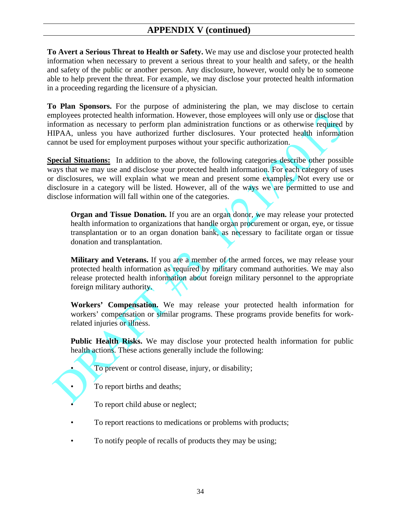**To Avert a Serious Threat to Health or Safety.** We may use and disclose your protected health information when necessary to prevent a serious threat to your health and safety, or the health and safety of the public or another person. Any disclosure, however, would only be to someone able to help prevent the threat. For example, we may disclose your protected health information in a proceeding regarding the licensure of a physician.

**To Plan Sponsors.** For the purpose of administering the plan, we may disclose to certain employees protected health information. However, those employees will only use or disclose that information as necessary to perform plan administration functions or as otherwise required by HIPAA, unless you have authorized further disclosures. Your protected health information cannot be used for employment purposes without your specific authorization.

**Special Situations:** In addition to the above, the following categories describe other possible ways that we may use and disclose your protected health information. For each category of uses or disclosures, we will explain what we mean and present some examples. Not every use or disclosure in a category will be listed. However, all of the ways we are permitted to use and disclose information will fall within one of the categories.

**Organ and Tissue Donation.** If you are an organ donor, we may release your protected health information to organizations that handle organ procurement or organ, eye, or tissue transplantation or to an organ donation bank, as necessary to facilitate organ or tissue donation and transplantation.

**Military and Veterans.** If you are a member of the armed forces, we may release your protected health information as required by military command authorities. We may also release protected health information about foreign military personnel to the appropriate foreign military authority.

**Workers' Compensation.** We may release your protected health information for workers' compensation or similar programs. These programs provide benefits for workrelated injuries or illness.

**Public Health Risks.** We may disclose your protected health information for public health actions. These actions generally include the following:

- To prevent or control disease, injury, or disability;
- To report births and deaths;
- To report child abuse or neglect;
- To report reactions to medications or problems with products;
- To notify people of recalls of products they may be using;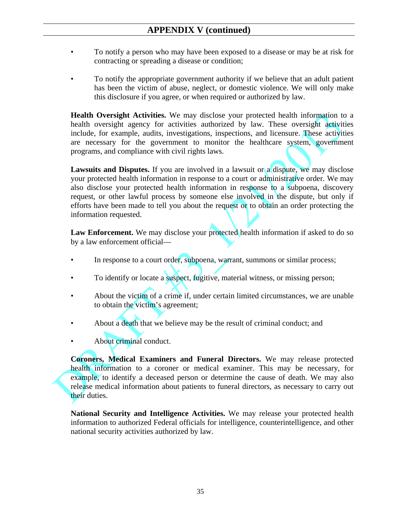- To notify a person who may have been exposed to a disease or may be at risk for contracting or spreading a disease or condition;
- To notify the appropriate government authority if we believe that an adult patient has been the victim of abuse, neglect, or domestic violence. We will only make this disclosure if you agree, or when required or authorized by law.

**Health Oversight Activities.** We may disclose your protected health information to a health oversight agency for activities authorized by law. These oversight activities include, for example, audits, investigations, inspections, and licensure. These activities are necessary for the government to monitor the healthcare system, government programs, and compliance with civil rights laws.

**Lawsuits and Disputes.** If you are involved in a lawsuit or a dispute, we may disclose your protected health information in response to a court or administrative order. We may also disclose your protected health information in response to a subpoena, discovery request, or other lawful process by someone else involved in the dispute, but only if efforts have been made to tell you about the request or to obtain an order protecting the information requested.

**Law Enforcement.** We may disclose your protected health information if asked to do so by a law enforcement official—

- In response to a court order, subpoena, warrant, summons or similar process;
- To identify or locate a suspect, fugitive, material witness, or missing person;
- About the victim of a crime if, under certain limited circumstances, we are unable to obtain the victim's agreement;
- About a death that we believe may be the result of criminal conduct; and
- About criminal conduct.

**Coroners, Medical Examiners and Funeral Directors.** We may release protected health information to a coroner or medical examiner. This may be necessary, for example, to identify a deceased person or determine the cause of death. We may also release medical information about patients to funeral directors, as necessary to carry out their duties.

**National Security and Intelligence Activities.** We may release your protected health information to authorized Federal officials for intelligence, counterintelligence, and other national security activities authorized by law.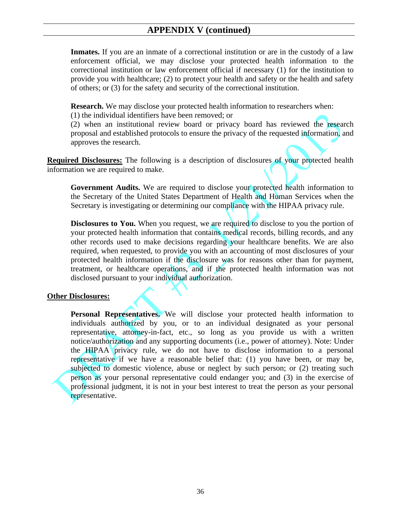**Inmates.** If you are an inmate of a correctional institution or are in the custody of a law enforcement official, we may disclose your protected health information to the correctional institution or law enforcement official if necessary (1) for the institution to provide you with healthcare;  $(2)$  to protect your health and safety or the health and safety of others; or (3) for the safety and security of the correctional institution.

**Research.** We may disclose your protected health information to researchers when:

(1) the individual identifiers have been removed; or

(2) when an institutional review board or privacy board has reviewed the research proposal and established protocols to ensure the privacy of the requested information, and approves the research.

**Required Disclosures:** The following is a description of disclosures of your protected health information we are required to make.

**Government Audits.** We are required to disclose your protected health information to the Secretary of the United States Department of Health and Human Services when the Secretary is investigating or determining our compliance with the HIPAA privacy rule.

**Disclosures to You.** When you request, we are required to disclose to you the portion of your protected health information that contains medical records, billing records, and any other records used to make decisions regarding your healthcare benefits. We are also required, when requested, to provide you with an accounting of most disclosures of your protected health information if the disclosure was for reasons other than for payment, treatment, or healthcare operations, and if the protected health information was not disclosed pursuant to your individual authorization.

#### **Other Disclosures:**

**Personal Representatives.** We will disclose your protected health information to individuals authorized by you, or to an individual designated as your personal representative, attorney-in-fact, etc., so long as you provide us with a written notice/authorization and any supporting documents (i.e., power of attorney). Note: Under the HIPAA privacy rule, we do not have to disclose information to a personal representative if we have a reasonable belief that: (1) you have been, or may be, subjected to domestic violence, abuse or neglect by such person; or (2) treating such person as your personal representative could endanger you; and (3) in the exercise of professional judgment, it is not in your best interest to treat the person as your personal representative.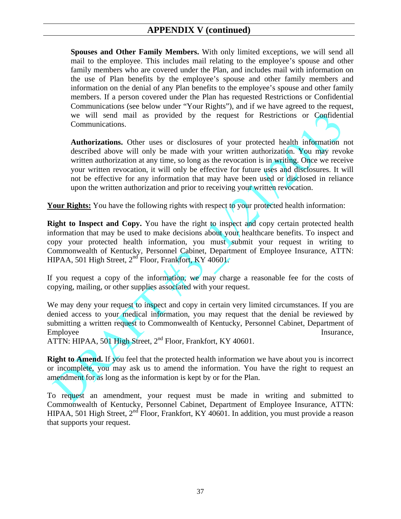**Spouses and Other Family Members.** With only limited exceptions, we will send all mail to the employee. This includes mail relating to the employee's spouse and other family members who are covered under the Plan, and includes mail with information on the use of Plan benefits by the employee's spouse and other family members and information on the denial of any Plan benefits to the employee's spouse and other family members. If a person covered under the Plan has requested Restrictions or Confidential Communications (see below under "Your Rights"), and if we have agreed to the request, we will send mail as provided by the request for Restrictions or Confidential Communications.

**Authorizations.** Other uses or disclosures of your protected health information not described above will only be made with your written authorization. You may revoke written authorization at any time, so long as the revocation is in writing. Once we receive your written revocation, it will only be effective for future uses and disclosures. It will not be effective for any information that may have been used or disclosed in reliance upon the written authorization and prior to receiving your written revocation.

**Your Rights:** You have the following rights with respect to your protected health information:

**Right to Inspect and Copy.** You have the right to inspect and copy certain protected health information that may be used to make decisions about your healthcare benefits. To inspect and copy your protected health information, you must submit your request in writing to Commonwealth of Kentucky, Personnel Cabinet, Department of Employee Insurance, ATTN: HIPAA, 501 High Street,  $2<sup>nd</sup>$  Floor, Frankfort, KY 40601.

If you request a copy of the information, we may charge a reasonable fee for the costs of copying, mailing, or other supplies associated with your request.

We may deny your request to inspect and copy in certain very limited circumstances. If you are denied access to your medical information, you may request that the denial be reviewed by submitting a written request to Commonwealth of Kentucky, Personnel Cabinet, Department of Employee Insurance,

ATTN: HIPAA, 501 High Street, 2<sup>nd</sup> Floor, Frankfort, KY 40601.

**Right to Amend.** If you feel that the protected health information we have about you is incorrect or incomplete, you may ask us to amend the information. You have the right to request an amendment for as long as the information is kept by or for the Plan.

To request an amendment, your request must be made in writing and submitted to Commonwealth of Kentucky, Personnel Cabinet, Department of Employee Insurance, ATTN: HIPAA, 501 High Street, 2<sup>nd</sup> Floor, Frankfort, KY 40601. In addition, you must provide a reason that supports your request.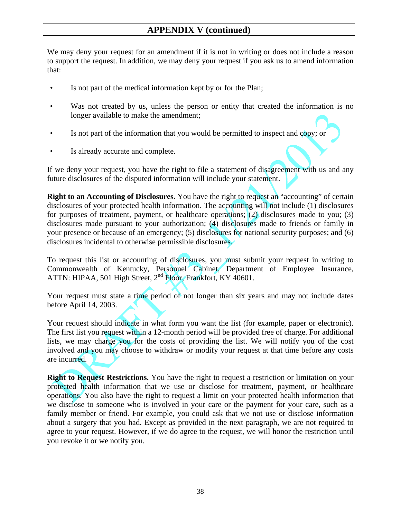We may deny your request for an amendment if it is not in writing or does not include a reason to support the request. In addition, we may deny your request if you ask us to amend information that:

- Is not part of the medical information kept by or for the Plan;
- Was not created by us, unless the person or entity that created the information is no longer available to make the amendment;
- Is not part of the information that you would be permitted to inspect and copy; or
- Is already accurate and complete.

If we deny your request, you have the right to file a statement of disagreement with us and any future disclosures of the disputed information will include your statement.

**Right to an Accounting of Disclosures.** You have the right to request an "accounting" of certain disclosures of your protected health information. The accounting will not include (1) disclosures for purposes of treatment, payment, or healthcare operations; (2) disclosures made to you; (3) disclosures made pursuant to your authorization; (4) disclosures made to friends or family in your presence or because of an emergency; (5) disclosures for national security purposes; and (6) disclosures incidental to otherwise permissible disclosures.

To request this list or accounting of disclosures, you must submit your request in writing to Commonwealth of Kentucky, Personnel Cabinet, Department of Employee Insurance, ATTN: HIPAA, 501 High Street, 2<sup>nd</sup> Floor, Frankfort, KY 40601.

Your request must state a time period of not longer than six years and may not include dates before April 14, 2003.

Your request should indicate in what form you want the list (for example, paper or electronic). The first list you request within a 12-month period will be provided free of charge. For additional lists, we may charge you for the costs of providing the list. We will notify you of the cost involved and you may choose to withdraw or modify your request at that time before any costs are incurred.

**Right to Request Restrictions.** You have the right to request a restriction or limitation on your protected health information that we use or disclose for treatment, payment, or healthcare operations. You also have the right to request a limit on your protected health information that we disclose to someone who is involved in your care or the payment for your care, such as a family member or friend. For example, you could ask that we not use or disclose information about a surgery that you had. Except as provided in the next paragraph, we are not required to agree to your request. However, if we do agree to the request, we will honor the restriction until you revoke it or we notify you.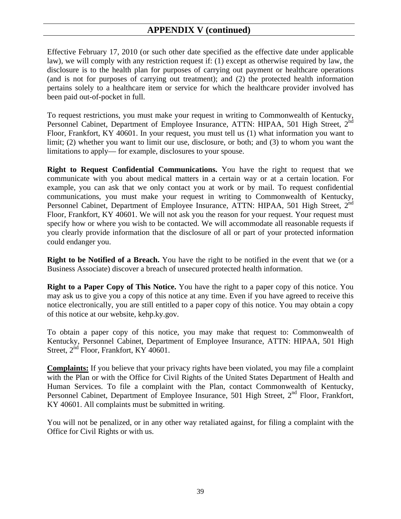Effective February 17, 2010 (or such other date specified as the effective date under applicable law), we will comply with any restriction request if: (1) except as otherwise required by law, the disclosure is to the health plan for purposes of carrying out payment or healthcare operations (and is not for purposes of carrying out treatment); and (2) the protected health information pertains solely to a healthcare item or service for which the healthcare provider involved has been paid out-of-pocket in full.

To request restrictions, you must make your request in writing to Commonwealth of Kentucky, Personnel Cabinet, Department of Employee Insurance, ATTN: HIPAA, 501 High Street, 2<sup>nd</sup> Floor, Frankfort, KY 40601. In your request, you must tell us (1) what information you want to limit; (2) whether you want to limit our use, disclosure, or both; and (3) to whom you want the limitations to apply— for example, disclosures to your spouse.

**Right to Request Confidential Communications.** You have the right to request that we communicate with you about medical matters in a certain way or at a certain location. For example, you can ask that we only contact you at work or by mail. To request confidential communications, you must make your request in writing to Commonwealth of Kentucky, Personnel Cabinet, Department of Employee Insurance, ATTN: HIPAA, 501 High Street, 2<sup>nd</sup> Floor, Frankfort, KY 40601. We will not ask you the reason for your request. Your request must specify how or where you wish to be contacted. We will accommodate all reasonable requests if you clearly provide information that the disclosure of all or part of your protected information could endanger you.

**Right to be Notified of a Breach.** You have the right to be notified in the event that we (or a Business Associate) discover a breach of unsecured protected health information.

**Right to a Paper Copy of This Notice.** You have the right to a paper copy of this notice. You may ask us to give you a copy of this notice at any time. Even if you have agreed to receive this notice electronically, you are still entitled to a paper copy of this notice. You may obtain a copy of this notice at our website, kehp.ky.gov.

To obtain a paper copy of this notice, you may make that request to: Commonwealth of Kentucky, Personnel Cabinet, Department of Employee Insurance, ATTN: HIPAA, 501 High Street,  $2^{nd}$  Floor, Frankfort, KY 40601.

**Complaints:** If you believe that your privacy rights have been violated, you may file a complaint with the Plan or with the Office for Civil Rights of the United States Department of Health and Human Services. To file a complaint with the Plan, contact Commonwealth of Kentucky, Personnel Cabinet, Department of Employee Insurance, 501 High Street,  $2^{nd}$  Floor, Frankfort, KY 40601. All complaints must be submitted in writing.

You will not be penalized, or in any other way retaliated against, for filing a complaint with the Office for Civil Rights or with us.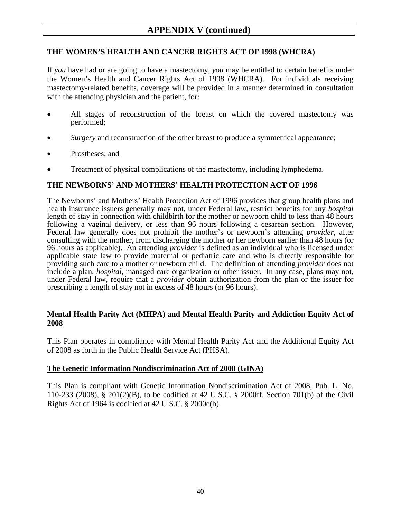#### **THE WOMEN'S HEALTH AND CANCER RIGHTS ACT OF 1998 (WHCRA)**

If *you* have had or are going to have a mastectomy, *you* may be entitled to certain benefits under the Women's Health and Cancer Rights Act of 1998 (WHCRA). For individuals receiving mastectomy-related benefits, coverage will be provided in a manner determined in consultation with the attending physician and the patient, for:

- All stages of reconstruction of the breast on which the covered mastectomy was performed;
- *Surgery* and reconstruction of the other breast to produce a symmetrical appearance;
- Prostheses; and
- Treatment of physical complications of the mastectomy, including lymphedema.

#### **THE NEWBORNS' AND MOTHERS' HEALTH PROTECTION ACT OF 1996**

The Newborns' and Mothers' Health Protection Act of 1996 provides that group health plans and health insurance issuers generally may not, under Federal law, restrict benefits for any *hospital* length of stay in connection with childbirth for the mother or newborn child to less than 48 hours following a vaginal delivery, or less than 96 hours following a cesarean section. However, Federal law generally does not prohibit the mother's or newborn's attending *provider*, after consulting with the mother, from discharging the mother or her newborn earlier than 48 hours (or 96 hours as applicable). An attending *provider* is defined as an individual who is licensed under applicable state law to provide maternal or pediatric care and who is directly responsible for providing such care to a mother or newborn child. The definition of attending *provider* does not include a plan, *hospital*, managed care organization or other issuer. In any case, plans may not, under Federal law, require that a *provider* obtain authorization from the plan or the issuer for prescribing a length of stay not in excess of 48 hours (or 96 hours).

#### **Mental Health Parity Act (MHPA) and Mental Health Parity and Addiction Equity Act of 2008**

This Plan operates in compliance with Mental Health Parity Act and the Additional Equity Act of 2008 as forth in the Public Health Service Act (PHSA).

#### **The Genetic Information Nondiscrimination Act of 2008 (GINA)**

This Plan is compliant with Genetic Information Nondiscrimination Act of 2008, Pub. L. No. 110-233 (2008), § 201(2)(B), to be codified at 42 U.S.C. § 2000ff. Section 701(b) of the Civil Rights Act of 1964 is codified at 42 U.S.C. § 2000e(b).